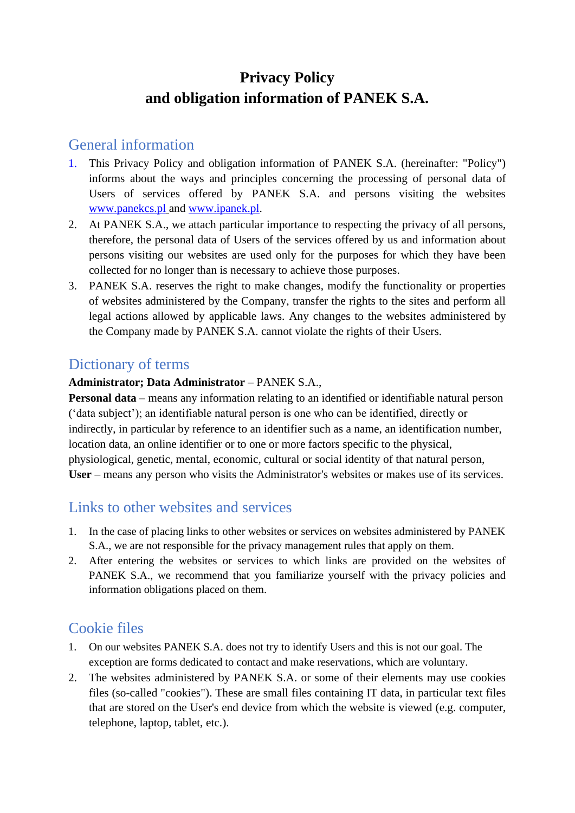# **Privacy Policy and obligation information of PANEK S.A.**

### General information

- 1. This Privacy Policy and obligation information of PANEK S.A. (hereinafter: "Policy") informs about the ways and principles concerning the processing of personal data of Users of services offered by PANEK S.A. and persons visiting the websites [www.panekcs.pl](http://www.panekcs.pl/) and [www.ipanek.pl.](http://www.ipanek.pl/)
- 2. At PANEK S.A., we attach particular importance to respecting the privacy of all persons, therefore, the personal data of Users of the services offered by us and information about persons visiting our websites are used only for the purposes for which they have been collected for no longer than is necessary to achieve those purposes.
- 3. PANEK S.A. reserves the right to make changes, modify the functionality or properties of websites administered by the Company, transfer the rights to the sites and perform all legal actions allowed by applicable laws. Any changes to the websites administered by the Company made by PANEK S.A. cannot violate the rights of their Users.

### Dictionary of terms

#### **Administrator; Data Administrator** – PANEK S.A.,

**Personal data** – means any information relating to an identified or identifiable natural person ('data subject'); an identifiable natural person is one who can be identified, directly or indirectly, in particular by reference to an identifier such as a name, an identification number, location data, an online identifier or to one or more factors specific to the physical, physiological, genetic, mental, economic, cultural or social identity of that natural person, **User** – means any person who visits the Administrator's websites or makes use of its services.

#### Links to other websites and services

- 1. In the case of placing links to other websites or services on websites administered by PANEK S.A., we are not responsible for the privacy management rules that apply on them.
- 2. After entering the websites or services to which links are provided on the websites of PANEK S.A., we recommend that you familiarize yourself with the privacy policies and information obligations placed on them.

#### Cookie files

- 1. On our websites PANEK S.A. does not try to identify Users and this is not our goal. The exception are forms dedicated to contact and make reservations, which are voluntary.
- 2. The websites administered by PANEK S.A. or some of their elements may use cookies files (so-called "cookies"). These are small files containing IT data, in particular text files that are stored on the User's end device from which the website is viewed (e.g. computer, telephone, laptop, tablet, etc.).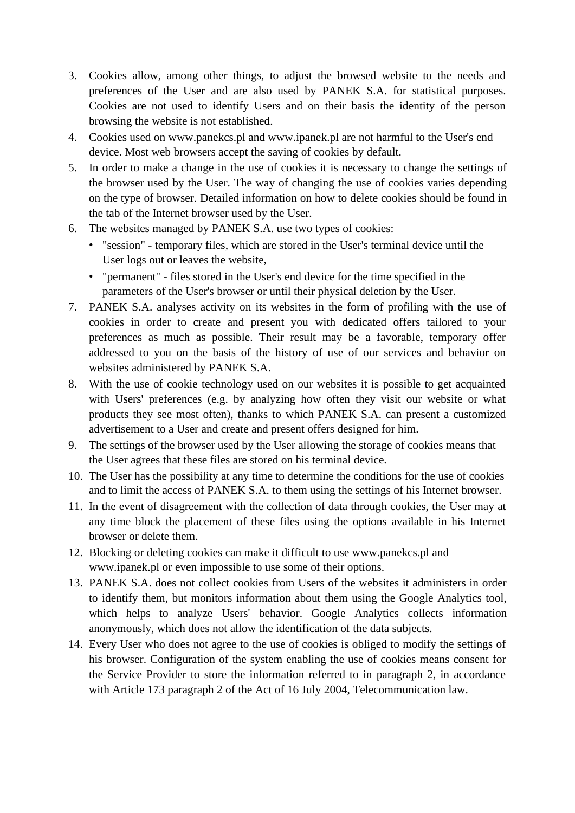- 3. Cookies allow, among other things, to adjust the browsed website to the needs and preferences of the User and are also used by PANEK S.A. for statistical purposes. Cookies are not used to identify Users and on their basis the identity of the person browsing the website is not established.
- 4. Cookies used on www.panekcs.pl and www.ipanek.pl are not harmful to the User's end device. Most web browsers accept the saving of cookies by default.
- 5. In order to make a change in the use of cookies it is necessary to change the settings of the browser used by the User. The way of changing the use of cookies varies depending on the type of browser. Detailed information on how to delete cookies should be found in the tab of the Internet browser used by the User.
- 6. The websites managed by PANEK S.A. use two types of cookies:
	- "session" temporary files, which are stored in the User's terminal device until the User logs out or leaves the website,
	- "permanent" files stored in the User's end device for the time specified in the parameters of the User's browser or until their physical deletion by the User.
- 7. PANEK S.A. analyses activity on its websites in the form of profiling with the use of cookies in order to create and present you with dedicated offers tailored to your preferences as much as possible. Their result may be a favorable, temporary offer addressed to you on the basis of the history of use of our services and behavior on websites administered by PANEK S.A.
- 8. With the use of cookie technology used on our websites it is possible to get acquainted with Users' preferences (e.g. by analyzing how often they visit our website or what products they see most often), thanks to which PANEK S.A. can present a customized advertisement to a User and create and present offers designed for him.
- 9. The settings of the browser used by the User allowing the storage of cookies means that the User agrees that these files are stored on his terminal device.
- 10. The User has the possibility at any time to determine the conditions for the use of cookies and to limit the access of PANEK S.A. to them using the settings of his Internet browser.
- 11. In the event of disagreement with the collection of data through cookies, the User may at any time block the placement of these files using the options available in his Internet browser or delete them.
- 12. Blocking or deleting cookies can make it difficult to use www.panekcs.pl and www.ipanek.pl or even impossible to use some of their options.
- 13. PANEK S.A. does not collect cookies from Users of the websites it administers in order to identify them, but monitors information about them using the Google Analytics tool, which helps to analyze Users' behavior. Google Analytics collects information anonymously, which does not allow the identification of the data subjects.
- 14. Every User who does not agree to the use of cookies is obliged to modify the settings of his browser. Configuration of the system enabling the use of cookies means consent for the Service Provider to store the information referred to in paragraph 2, in accordance with Article 173 paragraph 2 of the Act of 16 July 2004, Telecommunication law.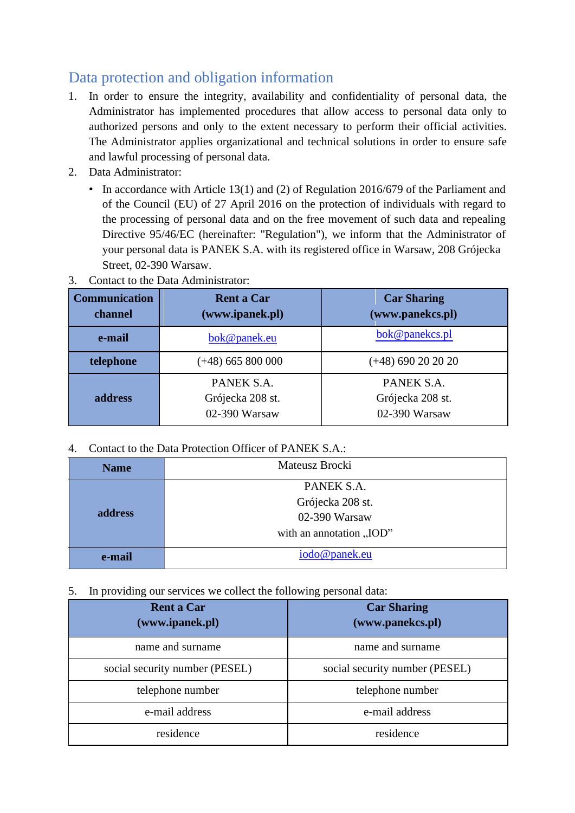## Data protection and obligation information

- 1. In order to ensure the integrity, availability and confidentiality of personal data, the Administrator has implemented procedures that allow access to personal data only to authorized persons and only to the extent necessary to perform their official activities. The Administrator applies organizational and technical solutions in order to ensure safe and lawful processing of personal data.
- 2. Data Administrator:
	- In accordance with Article 13(1) and (2) of Regulation 2016/679 of the Parliament and of the Council (EU) of 27 April 2016 on the protection of individuals with regard to the processing of personal data and on the free movement of such data and repealing Directive 95/46/EC (hereinafter: "Regulation"), we inform that the Administrator of your personal data is PANEK S.A. with its registered office in Warsaw, 208 Grójecka Street, 02-390 Warsaw.
- 3. Contact to the Data Administrator:

| <b>Communication</b><br>channel | <b>Rent a Car</b><br>(www.ipanek.pl)            | <b>Car Sharing</b><br>(www.panekcs.pl)          |
|---------------------------------|-------------------------------------------------|-------------------------------------------------|
| e-mail                          | bok@panek.eu                                    | bok@panekcs.pl                                  |
| telephone                       | $(+48)$ 665 800 000                             | $(+48)$ 690 20 20 20                            |
| address                         | PANEK S.A.<br>Grójecka 208 st.<br>02-390 Warsaw | PANEK S.A.<br>Grójecka 208 st.<br>02-390 Warsaw |

4. Contact to the Data Protection Officer of PANEK S.A.:

| <b>Name</b> | Mateusz Brocki           |  |
|-------------|--------------------------|--|
| address     | PANEK S.A.               |  |
|             | Grójecka 208 st.         |  |
|             | 02-390 Warsaw            |  |
|             | with an annotation "IOD" |  |
| e-mail      | iodo@panek.eu            |  |

5. In providing our services we collect the following personal data:

| ັບ 1                                 |                                        |  |
|--------------------------------------|----------------------------------------|--|
| <b>Rent a Car</b><br>(www.ipanek.pl) | <b>Car Sharing</b><br>(www.panekcs.pl) |  |
| name and surname                     | name and surname                       |  |
| social security number (PESEL)       | social security number (PESEL)         |  |
| telephone number                     | telephone number                       |  |
| e-mail address                       | e-mail address                         |  |
| residence                            | residence                              |  |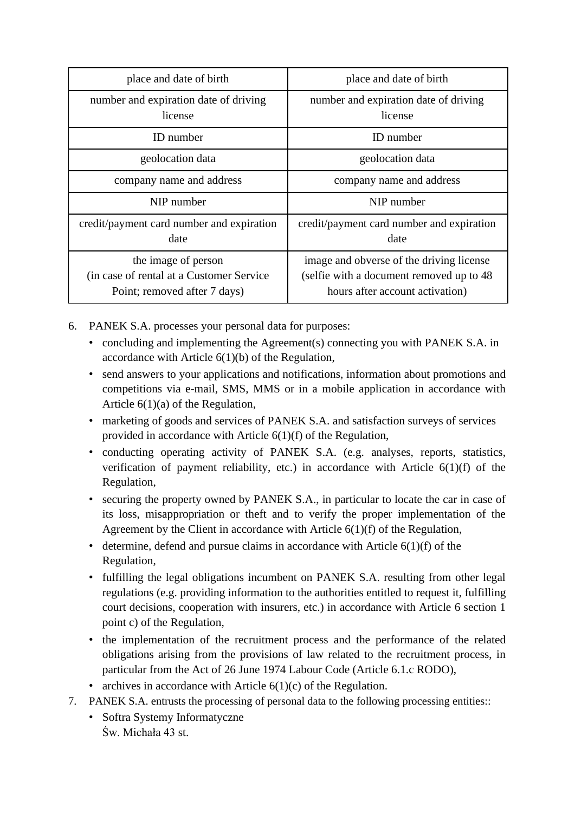| place and date of birth                                                                          | place and date of birth                                                                                                  |
|--------------------------------------------------------------------------------------------------|--------------------------------------------------------------------------------------------------------------------------|
| number and expiration date of driving<br>license                                                 | number and expiration date of driving<br>license                                                                         |
| ID number                                                                                        | <b>ID</b> number                                                                                                         |
| geolocation data                                                                                 | geolocation data                                                                                                         |
| company name and address                                                                         | company name and address                                                                                                 |
| NIP number                                                                                       | NIP number                                                                                                               |
| credit/payment card number and expiration<br>date                                                | credit/payment card number and expiration<br>date                                                                        |
| the image of person<br>(in case of rental at a Customer Service)<br>Point; removed after 7 days) | image and obverse of the driving license<br>(selfie with a document removed up to 48)<br>hours after account activation) |

- 6. PANEK S.A. processes your personal data for purposes:
	- concluding and implementing the Agreement(s) connecting you with PANEK S.A. in accordance with Article  $6(1)(b)$  of the Regulation,
	- send answers to your applications and notifications, information about promotions and competitions via e-mail, SMS, MMS or in a mobile application in accordance with Article 6(1)(a) of the Regulation,
	- marketing of goods and services of PANEK S.A. and satisfaction surveys of services provided in accordance with Article 6(1)(f) of the Regulation,
	- conducting operating activity of PANEK S.A. (e.g. analyses, reports, statistics, verification of payment reliability, etc.) in accordance with Article 6(1)(f) of the Regulation,
	- securing the property owned by PANEK S.A., in particular to locate the car in case of its loss, misappropriation or theft and to verify the proper implementation of the Agreement by the Client in accordance with Article 6(1)(f) of the Regulation,
	- determine, defend and pursue claims in accordance with Article 6(1)(f) of the Regulation,
	- fulfilling the legal obligations incumbent on PANEK S.A. resulting from other legal regulations (e.g. providing information to the authorities entitled to request it, fulfilling court decisions, cooperation with insurers, etc.) in accordance with Article 6 section 1 point c) of the Regulation,
	- the implementation of the recruitment process and the performance of the related obligations arising from the provisions of law related to the recruitment process, in particular from the Act of 26 June 1974 Labour Code (Article 6.1.c RODO),
	- archives in accordance with Article  $6(1)(c)$  of the Regulation.
- 7. PANEK S.A. entrusts the processing of personal data to the following processing entities::
	- Softra Systemy Informatyczne Św. Michała 43 st.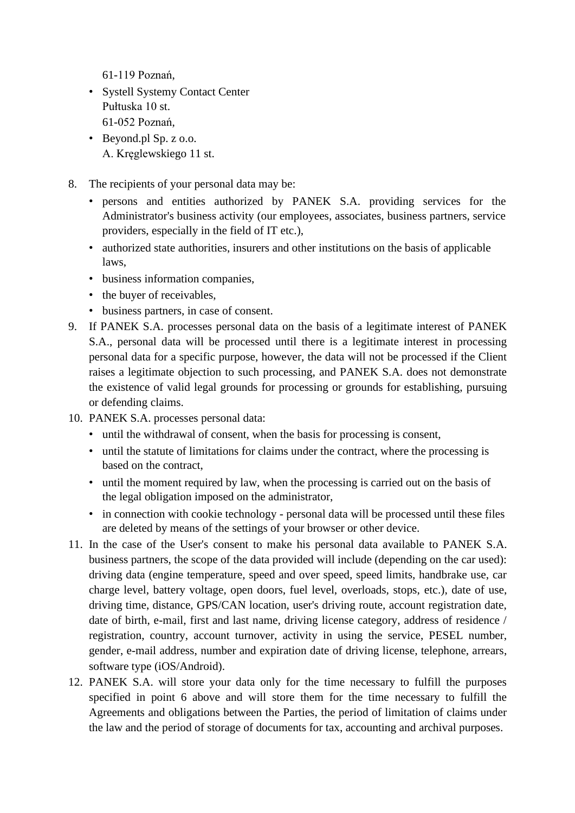61-119 Poznań,

- Systell Systemy Contact Center Pułtuska 10 st. 61-052 Poznań,
- Beyond.pl Sp. z o.o. A. Kręglewskiego 11 st.
- 8. The recipients of your personal data may be:
	- persons and entities authorized by PANEK S.A. providing services for the Administrator's business activity (our employees, associates, business partners, service providers, especially in the field of IT etc.),
	- authorized state authorities, insurers and other institutions on the basis of applicable laws,
	- business information companies,
	- the buyer of receivables,
	- business partners, in case of consent.
- 9. If PANEK S.A. processes personal data on the basis of a legitimate interest of PANEK S.A., personal data will be processed until there is a legitimate interest in processing personal data for a specific purpose, however, the data will not be processed if the Client raises a legitimate objection to such processing, and PANEK S.A. does not demonstrate the existence of valid legal grounds for processing or grounds for establishing, pursuing or defending claims.
- 10. PANEK S.A. processes personal data:
	- until the withdrawal of consent, when the basis for processing is consent,
	- until the statute of limitations for claims under the contract, where the processing is based on the contract,
	- until the moment required by law, when the processing is carried out on the basis of the legal obligation imposed on the administrator,
	- in connection with cookie technology personal data will be processed until these files are deleted by means of the settings of your browser or other device.
- 11. In the case of the User's consent to make his personal data available to PANEK S.A. business partners, the scope of the data provided will include (depending on the car used): driving data (engine temperature, speed and over speed, speed limits, handbrake use, car charge level, battery voltage, open doors, fuel level, overloads, stops, etc.), date of use, driving time, distance, GPS/CAN location, user's driving route, account registration date, date of birth, e-mail, first and last name, driving license category, address of residence / registration, country, account turnover, activity in using the service, PESEL number, gender, e-mail address, number and expiration date of driving license, telephone, arrears, software type (iOS/Android).
- 12. PANEK S.A. will store your data only for the time necessary to fulfill the purposes specified in point 6 above and will store them for the time necessary to fulfill the Agreements and obligations between the Parties, the period of limitation of claims under the law and the period of storage of documents for tax, accounting and archival purposes.